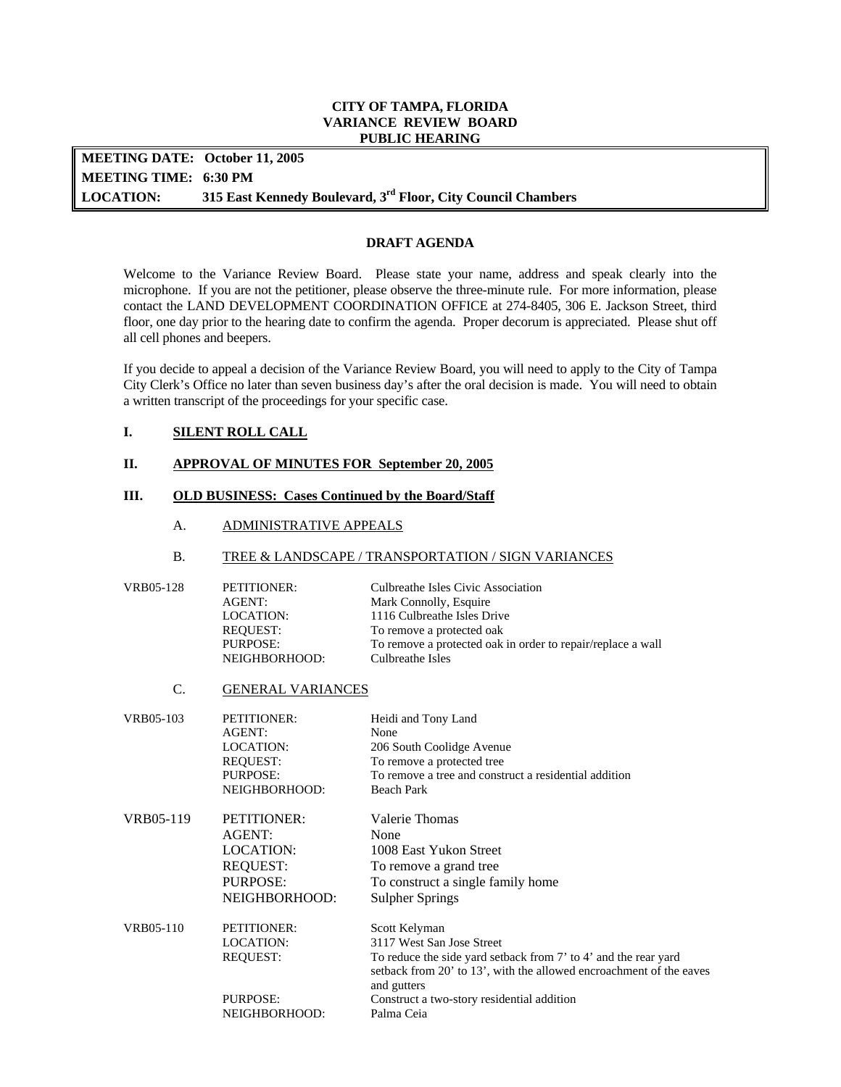#### **CITY OF TAMPA, FLORIDA VARIANCE REVIEW BOARD PUBLIC HEARING**

**LOCATION: MEETING DATE: October 11, 2005 MEETING TIME: 6:30 PM**  315 East Kennedy Boulevard, 3<sup>rd</sup> Floor, City Council Chambers

## **DRAFT AGENDA**

 floor, one day prior to the hearing date to confirm the agenda. Proper decorum is appreciated. Please shut off Welcome to the Variance Review Board. Please state your name, address and speak clearly into the microphone. If you are not the petitioner, please observe the three-minute rule. For more information, please contact the LAND DEVELOPMENT COORDINATION OFFICE at 274-8405, 306 E. Jackson Street, third all cell phones and beepers.

 If you decide to appeal a decision of the Variance Review Board, you will need to apply to the City of Tampa City Clerk's Office no later than seven business day's after the oral decision is made. You will need to obtain a written transcript of the proceedings for your specific case.

# **I. SILENT ROLL CALL**

#### **II. APPROVAL OF MINUTES FOR September 20, 2005**

## **III. OLD BUSINESS: Cases Continued by the Board/Staff**

A. ADMINISTRATIVE APPEALS

#### B. TREE & LANDSCAPE / TRANSPORTATION / SIGN VARIANCES

| VRB05-128 | PETITIONER:   | Culbreathe Isles Civic Association                          |
|-----------|---------------|-------------------------------------------------------------|
|           | AGENT:        | Mark Connolly, Esquire                                      |
|           | LOCATION:     | 1116 Culbreathe Isles Drive                                 |
|           | REQUEST:      | To remove a protected oak                                   |
|           | PURPOSE:      | To remove a protected oak in order to repair/replace a wall |
|           | NEIGHBORHOOD: | Culbreathe Isles                                            |

C. GENERAL VARIANCES

| VRB05-103 | <b>PETITIONER:</b> | Heidi and Tony Land                                                                |
|-----------|--------------------|------------------------------------------------------------------------------------|
|           | AGENT:             | None                                                                               |
|           | LOCATION:          | 206 South Coolidge Avenue                                                          |
|           | <b>REOUEST:</b>    | To remove a protected tree                                                         |
|           | <b>PURPOSE:</b>    | To remove a tree and construct a residential addition                              |
|           | NEIGHBORHOOD:      | Beach Park                                                                         |
| VRB05-119 | <b>PETITIONER:</b> | Valerie Thomas                                                                     |
|           | AGENT:             | None                                                                               |
|           | LOCATION:          | 1008 East Yukon Street                                                             |
|           | <b>REQUEST:</b>    | To remove a grand tree                                                             |
|           | <b>PURPOSE:</b>    | To construct a single family home                                                  |
|           | NEIGHBORHOOD:      | <b>Sulpher Springs</b>                                                             |
| VRB05-110 | PETITIONER:        | Scott Kelyman                                                                      |
|           | LOCATION:          | 3117 West San Jose Street                                                          |
|           | <b>REQUEST:</b>    | To reduce the side yard setback from 7' to 4' and the rear yard                    |
|           |                    | setback from 20' to 13', with the allowed encroachment of the eaves<br>and gutters |
|           | PURPOSE:           | Construct a two-story residential addition                                         |
|           | NEIGHBORHOOD:      | Palma Ceia                                                                         |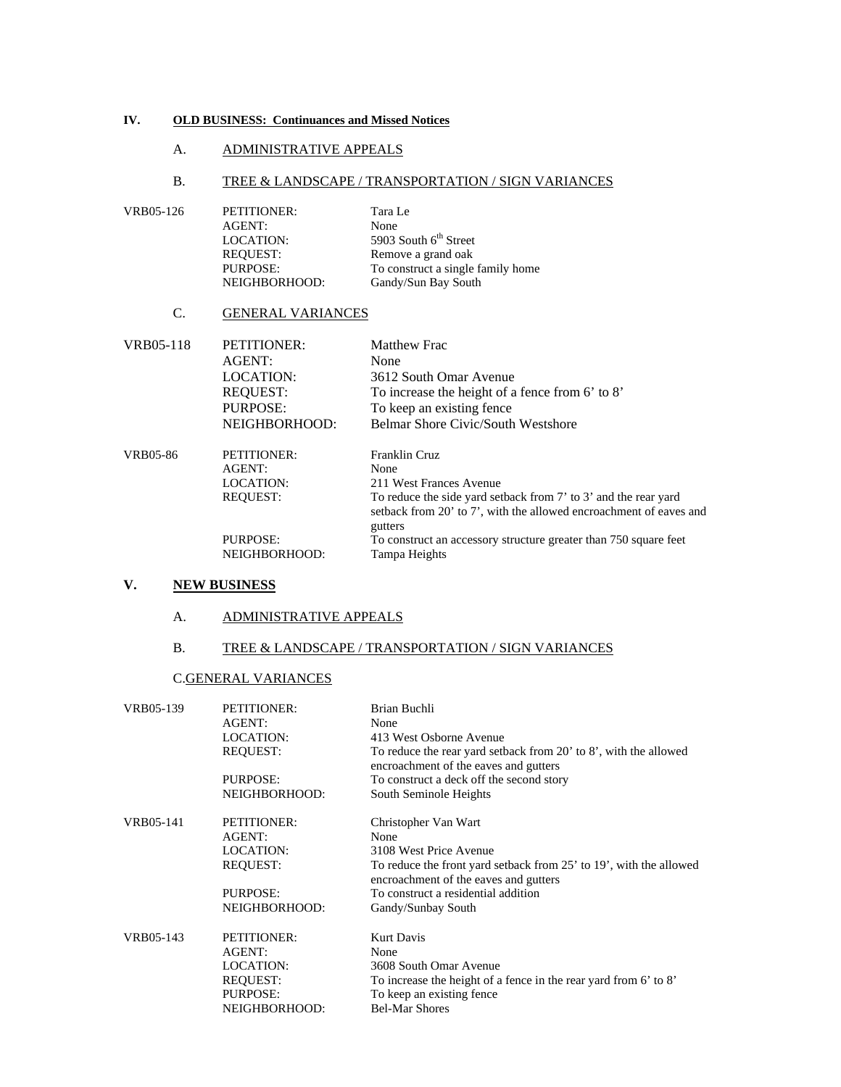#### **IV. OLD BUSINESS: Continuances and Missed Notices**

#### A. ADMINISTRATIVE APPEALS

#### B. TREE & LANDSCAPE / TRANSPORTATION / SIGN VARIANCES

| VRB05-126 | PETITIONER:      | Tara Le                           |
|-----------|------------------|-----------------------------------|
|           | AGENT:           | None                              |
|           | <b>LOCATION:</b> | 5903 South $6th$ Street           |
|           | <b>REOUEST:</b>  | Remove a grand oak                |
|           | <b>PURPOSE:</b>  | To construct a single family home |
|           | NEIGHBORHOOD:    | Gandy/Sun Bay South               |

## C. GENERAL VARIANCES

| VRB05-118       | <b>PETITIONER:</b> | <b>Matthew Frac</b>                                                           |
|-----------------|--------------------|-------------------------------------------------------------------------------|
|                 | AGENT:             | None                                                                          |
|                 | <b>LOCATION:</b>   | 3612 South Omar Avenue                                                        |
|                 | <b>REOUEST:</b>    | To increase the height of a fence from 6' to 8'                               |
|                 | PURPOSE:           | To keep an existing fence                                                     |
|                 | NEIGHBORHOOD:      | Belmar Shore Civic/South Westshore                                            |
| <b>VRB05-86</b> | <b>PETITIONER:</b> | Franklin Cruz                                                                 |
|                 | AGENT:             | None                                                                          |
|                 | <b>LOCATION:</b>   | 211 West Frances Avenue                                                       |
|                 | <b>REQUEST:</b>    | To reduce the side yard setback from 7' to 3' and the rear yard               |
|                 |                    | setback from 20' to 7', with the allowed encroachment of eaves and<br>gutters |
|                 | <b>PURPOSE:</b>    | To construct an accessory structure greater than 750 square feet              |
|                 | NEIGHBORHOOD:      | Tampa Heights                                                                 |

# **V. NEW BUSINESS**

#### A. ADMINISTRATIVE APPEALS

### B. TREE & LANDSCAPE / TRANSPORTATION / SIGN VARIANCES

#### C.GENERAL VARIANCES

| VRB05-139 | <b>PETITIONER:</b> | Brian Buchli                                                                                                |
|-----------|--------------------|-------------------------------------------------------------------------------------------------------------|
|           | AGENT:             | None                                                                                                        |
|           | <b>LOCATION:</b>   | 413 West Osborne Avenue                                                                                     |
|           | <b>REQUEST:</b>    | To reduce the rear yard setback from 20' to 8', with the allowed<br>encroachment of the eaves and gutters   |
|           | <b>PURPOSE:</b>    | To construct a deck off the second story                                                                    |
|           | NEIGHBORHOOD:      | South Seminole Heights                                                                                      |
| VRB05-141 | PETITIONER:        | Christopher Van Wart                                                                                        |
|           | AGENT:             | None                                                                                                        |
|           | <b>LOCATION:</b>   | 3108 West Price Avenue                                                                                      |
|           | <b>REQUEST:</b>    | To reduce the front yard setback from 25' to 19', with the allowed<br>encroachment of the eaves and gutters |
|           | <b>PURPOSE:</b>    | To construct a residential addition                                                                         |
|           | NEIGHBORHOOD:      | Gandy/Sunbay South                                                                                          |
| VRB05-143 | <b>PETITIONER:</b> | <b>Kurt Davis</b>                                                                                           |
|           | AGENT:             | None                                                                                                        |
|           | LOCATION:          | 3608 South Omar Avenue                                                                                      |
|           | <b>REOUEST:</b>    | To increase the height of a fence in the rear yard from 6' to 8'                                            |
|           | <b>PURPOSE:</b>    | To keep an existing fence                                                                                   |
|           | NEIGHBORHOOD:      | <b>Bel-Mar Shores</b>                                                                                       |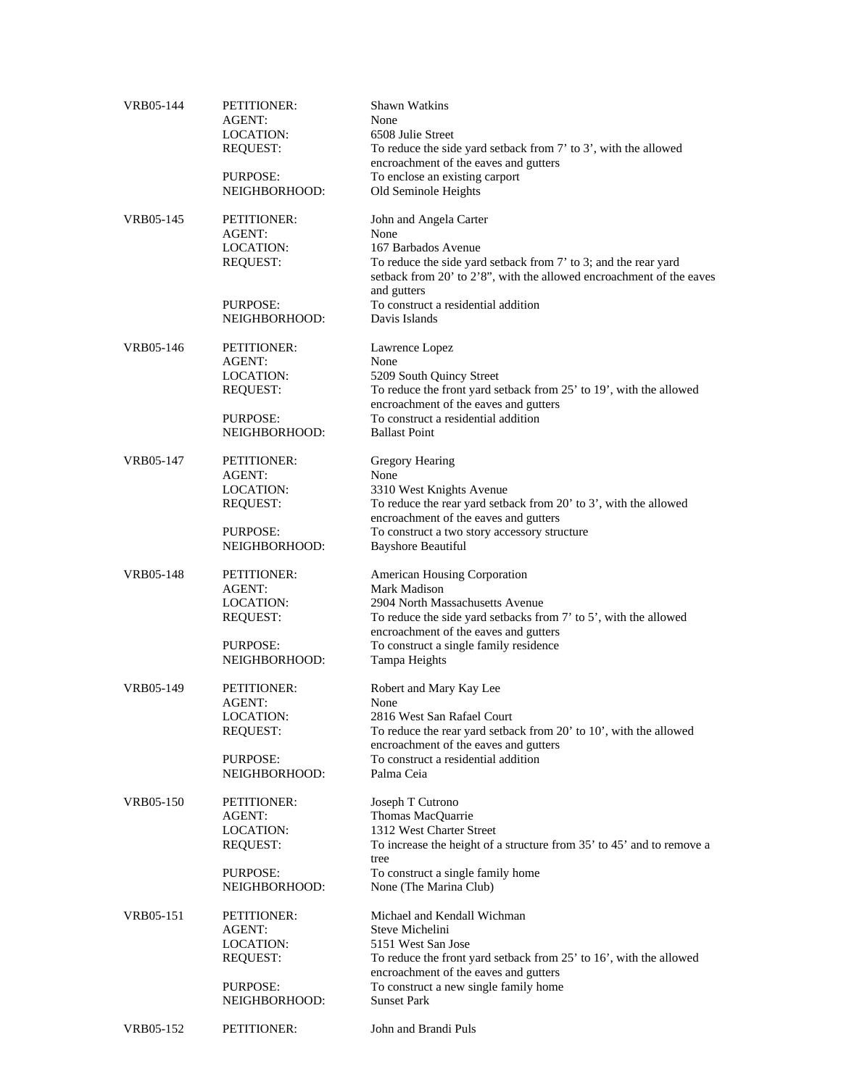| VRB05-144 | PETITIONER:<br><b>AGENT:</b> | <b>Shawn Watkins</b><br>None                                                                                                                           |
|-----------|------------------------------|--------------------------------------------------------------------------------------------------------------------------------------------------------|
|           | LOCATION:                    | 6508 Julie Street                                                                                                                                      |
|           | <b>REQUEST:</b>              | To reduce the side yard setback from 7' to 3', with the allowed<br>encroachment of the eaves and gutters                                               |
|           | <b>PURPOSE:</b>              | To enclose an existing carport                                                                                                                         |
|           | NEIGHBORHOOD:                | Old Seminole Heights                                                                                                                                   |
| VRB05-145 | PETITIONER:<br>AGENT:        | John and Angela Carter<br>None                                                                                                                         |
|           | LOCATION:                    | 167 Barbados Avenue                                                                                                                                    |
|           | <b>REQUEST:</b>              | To reduce the side yard setback from 7' to 3; and the rear yard<br>setback from 20' to 2'8", with the allowed encroachment of the eaves<br>and gutters |
|           | PURPOSE:                     | To construct a residential addition                                                                                                                    |
|           | NEIGHBORHOOD:                | Davis Islands                                                                                                                                          |
| VRB05-146 | PETITIONER:                  | Lawrence Lopez                                                                                                                                         |
|           | AGENT:<br>LOCATION:          | None<br>5209 South Quincy Street                                                                                                                       |
|           | <b>REQUEST:</b>              | To reduce the front yard setback from 25' to 19', with the allowed                                                                                     |
|           |                              | encroachment of the eaves and gutters                                                                                                                  |
|           | PURPOSE:                     | To construct a residential addition                                                                                                                    |
|           | NEIGHBORHOOD:                | <b>Ballast Point</b>                                                                                                                                   |
| VRB05-147 | PETITIONER:                  | Gregory Hearing                                                                                                                                        |
|           | AGENT:                       | None                                                                                                                                                   |
|           | LOCATION:                    | 3310 West Knights Avenue<br>To reduce the rear yard setback from 20' to 3', with the allowed                                                           |
|           | <b>REQUEST:</b>              | encroachment of the eaves and gutters                                                                                                                  |
|           | PURPOSE:                     | To construct a two story accessory structure                                                                                                           |
|           | NEIGHBORHOOD:                | <b>Bayshore Beautiful</b>                                                                                                                              |
| VRB05-148 | PETITIONER:                  | American Housing Corporation                                                                                                                           |
|           | AGENT:                       | Mark Madison                                                                                                                                           |
|           | LOCATION:                    | 2904 North Massachusetts Avenue                                                                                                                        |
|           | <b>REQUEST:</b>              | To reduce the side yard setbacks from 7' to 5', with the allowed<br>encroachment of the eaves and gutters                                              |
|           | PURPOSE:<br>NEIGHBORHOOD:    | To construct a single family residence<br>Tampa Heights                                                                                                |
|           |                              |                                                                                                                                                        |
| VRB05-149 | PETITIONER:<br>AGENT:        | Robert and Mary Kay Lee<br>None                                                                                                                        |
|           | LOCATION:                    | 2816 West San Rafael Court                                                                                                                             |
|           | <b>REQUEST:</b>              | To reduce the rear yard setback from 20' to 10', with the allowed                                                                                      |
|           |                              | encroachment of the eaves and gutters                                                                                                                  |
|           | PURPOSE:                     | To construct a residential addition                                                                                                                    |
|           | NEIGHBORHOOD:                | Palma Ceia                                                                                                                                             |
| VRB05-150 | PETITIONER:                  | Joseph T Cutrono                                                                                                                                       |
|           | AGENT:                       | Thomas MacQuarrie                                                                                                                                      |
|           | <b>LOCATION:</b>             | 1312 West Charter Street                                                                                                                               |
|           | <b>REQUEST:</b>              | To increase the height of a structure from 35' to 45' and to remove a<br>tree                                                                          |
|           | PURPOSE:                     | To construct a single family home                                                                                                                      |
|           | NEIGHBORHOOD:                | None (The Marina Club)                                                                                                                                 |
| VRB05-151 | PETITIONER:                  | Michael and Kendall Wichman                                                                                                                            |
|           | <b>AGENT:</b>                | Steve Michelini                                                                                                                                        |
|           | LOCATION:                    | 5151 West San Jose                                                                                                                                     |
|           | <b>REQUEST:</b>              | To reduce the front yard setback from 25' to 16', with the allowed<br>encroachment of the eaves and gutters                                            |
|           | PURPOSE:                     | To construct a new single family home                                                                                                                  |
|           | NEIGHBORHOOD:                | <b>Sunset Park</b>                                                                                                                                     |
| VRB05-152 | PETITIONER:                  | John and Brandi Puls                                                                                                                                   |